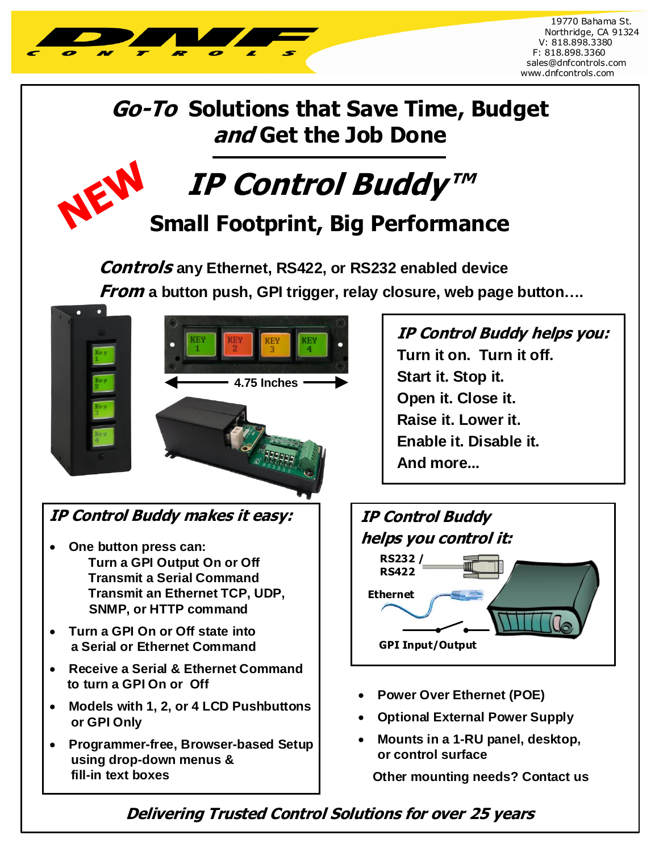

VEV

## **Go-To Solutions that Save Time, Budget and Get the Job Done**

**IP Control Buddy** 

**Small Footprint, Big Performance**

**Controls any Ethernet, RS422, or RS232 enabled device**  *From* **a button push, GPI trigger, relay closure, web page button....** 



## **IP Control Buddy makes it easy: IP Control Buddy**

- **One button press can: Turn a GPI Output On or Off Transmit a Serial Command Transmit an Ethernet TCP, UDP, SNMP, or HTTP command**
- **Turn a GPI On or Off state into a Serial or Ethernet Command**
- **Receive a Serial & Ethernet Command to turn a GPI On or Off**
- **Models with 1, 2, or 4 LCD Pushbuttons or GPI Only**
- **Programmer-free, Browser-based Setup using drop-down menus & fill-in text boxes**

**IP Control Buddy helps you: Turn it on. Turn it off. Start it. Stop it. Open it. Close it. Raise it. Lower it. Enable it. Disable it. And more...**

ł



- **Power Over Ethernet (POE)**
- **Optional External Power Supply**
- **Mounts in a 1-RU panel, desktop, or control surface**

**Other mounting needs? Contact us**

## **Delivering Trusted Control Solutions for over 25 years**